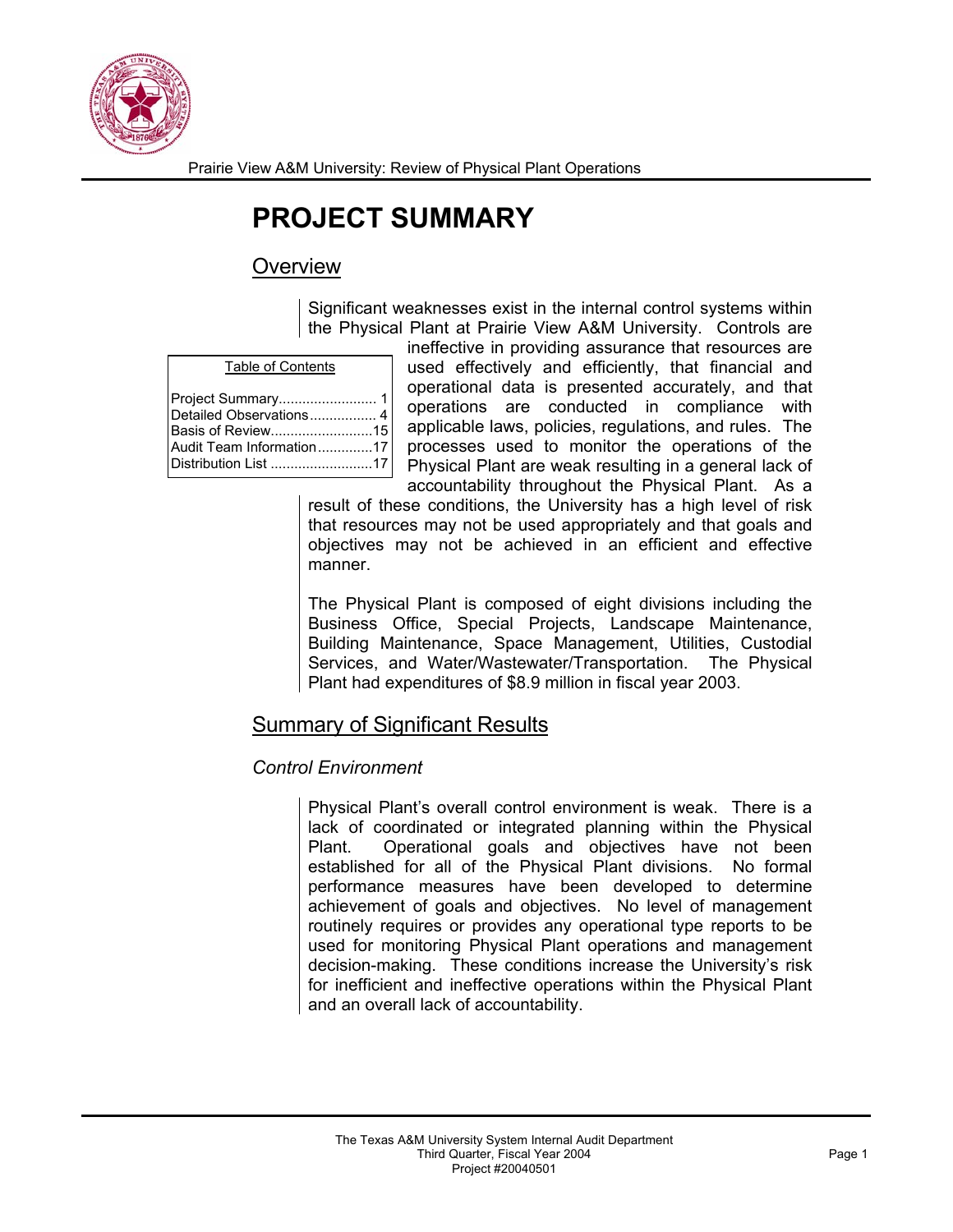

Prairie View A&M University: Review of Physical Plant Operations

# **PROJECT SUMMARY**

## **Overview**

Significant weaknesses exist in the internal control systems within the Physical Plant at Prairie View A&M University. Controls are

| Project Summary 1       |  |
|-------------------------|--|
| Detailed Observations 4 |  |
| Basis of Review15       |  |
|                         |  |
|                         |  |
|                         |  |

ineffective in providing assurance that resources are used effectively and efficiently, that financial and operational data is presented accurately, and that operations are conducted in compliance with applicable laws, policies, regulations, and rules. The processes used to monitor the operations of the Physical Plant are weak resulting in a general lack of accountability throughout the Physical Plant. As a

result of these conditions, the University has a high level of risk that resources may not be used appropriately and that goals and objectives may not be achieved in an efficient and effective manner.

The Physical Plant is composed of eight divisions including the Business Office, Special Projects, Landscape Maintenance, Building Maintenance, Space Management, Utilities, Custodial Services, and Water/Wastewater/Transportation. The Physical Plant had expenditures of \$8.9 million in fiscal year 2003.

## Summary of Significant Results

#### *Control Environment*

Physical Plant's overall control environment is weak. There is a lack of coordinated or integrated planning within the Physical Plant. Operational goals and objectives have not been established for all of the Physical Plant divisions. No formal performance measures have been developed to determine achievement of goals and objectives. No level of management routinely requires or provides any operational type reports to be used for monitoring Physical Plant operations and management decision-making. These conditions increase the University's risk for inefficient and ineffective operations within the Physical Plant and an overall lack of accountability.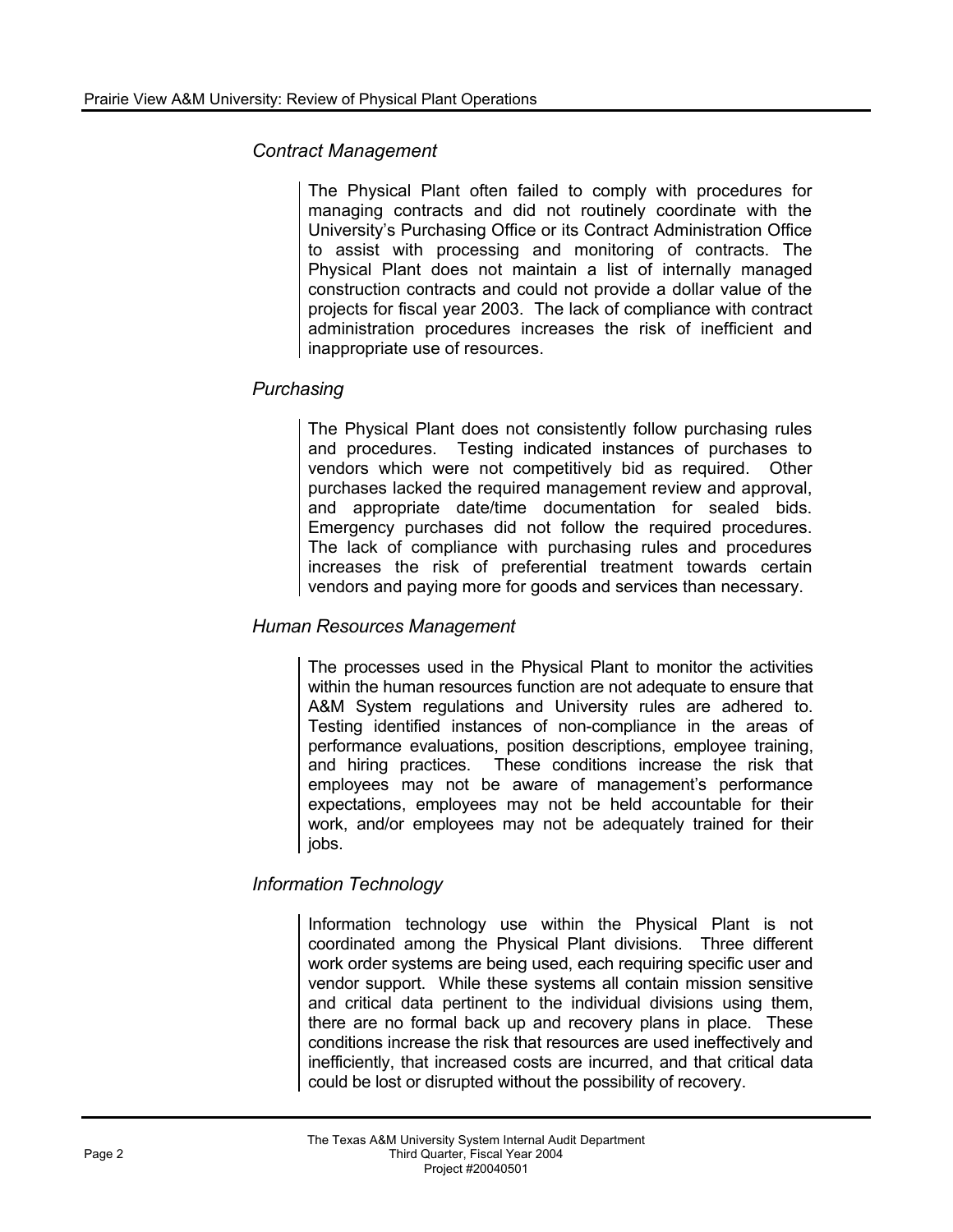#### *Contract Management*

The Physical Plant often failed to comply with procedures for managing contracts and did not routinely coordinate with the University's Purchasing Office or its Contract Administration Office to assist with processing and monitoring of contracts. The Physical Plant does not maintain a list of internally managed construction contracts and could not provide a dollar value of the projects for fiscal year 2003. The lack of compliance with contract administration procedures increases the risk of inefficient and inappropriate use of resources.

### *Purchasing*

The Physical Plant does not consistently follow purchasing rules and procedures. Testing indicated instances of purchases to vendors which were not competitively bid as required. Other purchases lacked the required management review and approval, and appropriate date/time documentation for sealed bids. Emergency purchases did not follow the required procedures. The lack of compliance with purchasing rules and procedures increases the risk of preferential treatment towards certain vendors and paying more for goods and services than necessary.

### *Human Resources Management*

The processes used in the Physical Plant to monitor the activities within the human resources function are not adequate to ensure that A&M System regulations and University rules are adhered to. Testing identified instances of non-compliance in the areas of performance evaluations, position descriptions, employee training, and hiring practices. These conditions increase the risk that employees may not be aware of management's performance expectations, employees may not be held accountable for their work, and/or employees may not be adequately trained for their jobs.

## *Information Technology*

Information technology use within the Physical Plant is not coordinated among the Physical Plant divisions. Three different work order systems are being used, each requiring specific user and vendor support. While these systems all contain mission sensitive and critical data pertinent to the individual divisions using them, there are no formal back up and recovery plans in place. These conditions increase the risk that resources are used ineffectively and inefficiently, that increased costs are incurred, and that critical data could be lost or disrupted without the possibility of recovery.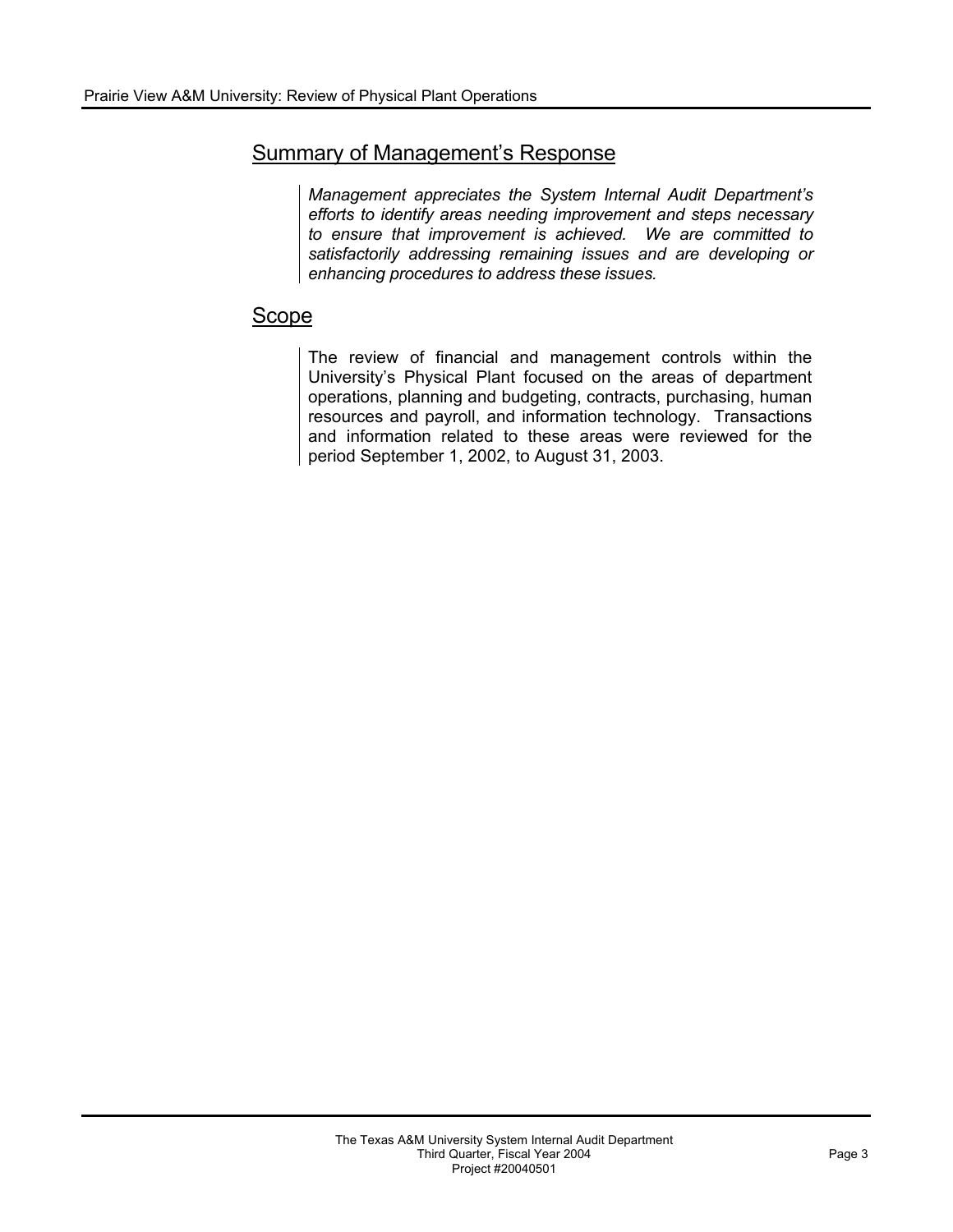## Summary of Management's Response

*Management appreciates the System Internal Audit Department's efforts to identify areas needing improvement and steps necessary to ensure that improvement is achieved. We are committed to satisfactorily addressing remaining issues and are developing or enhancing procedures to address these issues.* 

# Scope

The review of financial and management controls within the University's Physical Plant focused on the areas of department operations, planning and budgeting, contracts, purchasing, human resources and payroll, and information technology. Transactions and information related to these areas were reviewed for the period September 1, 2002, to August 31, 2003.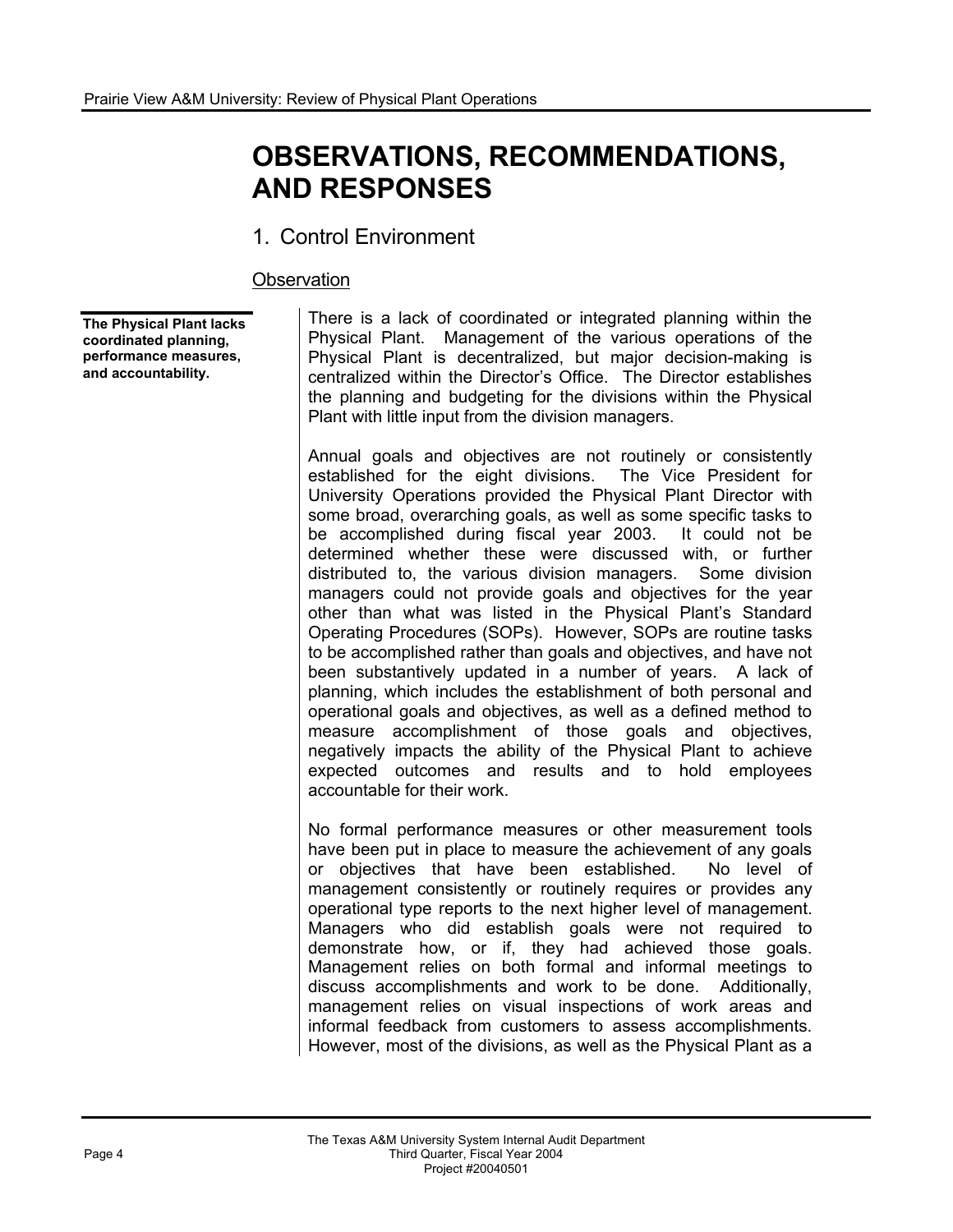# **OBSERVATIONS, RECOMMENDATIONS, AND RESPONSES**

## 1. Control Environment

#### **Observation**

**The Physical Plant lacks coordinated planning, performance measures, and accountability.** 

There is a lack of coordinated or integrated planning within the Physical Plant. Management of the various operations of the Physical Plant is decentralized, but major decision-making is centralized within the Director's Office. The Director establishes the planning and budgeting for the divisions within the Physical Plant with little input from the division managers.

Annual goals and objectives are not routinely or consistently established for the eight divisions. The Vice President for University Operations provided the Physical Plant Director with some broad, overarching goals, as well as some specific tasks to be accomplished during fiscal year 2003. It could not be determined whether these were discussed with, or further distributed to, the various division managers. Some division managers could not provide goals and objectives for the year other than what was listed in the Physical Plant's Standard Operating Procedures (SOPs). However, SOPs are routine tasks to be accomplished rather than goals and objectives, and have not been substantively updated in a number of years. A lack of planning, which includes the establishment of both personal and operational goals and objectives, as well as a defined method to measure accomplishment of those goals and objectives, negatively impacts the ability of the Physical Plant to achieve expected outcomes and results and to hold employees accountable for their work.

No formal performance measures or other measurement tools have been put in place to measure the achievement of any goals or objectives that have been established. No level of management consistently or routinely requires or provides any operational type reports to the next higher level of management. Managers who did establish goals were not required to demonstrate how, or if, they had achieved those goals. Management relies on both formal and informal meetings to discuss accomplishments and work to be done. Additionally, management relies on visual inspections of work areas and informal feedback from customers to assess accomplishments. However, most of the divisions, as well as the Physical Plant as a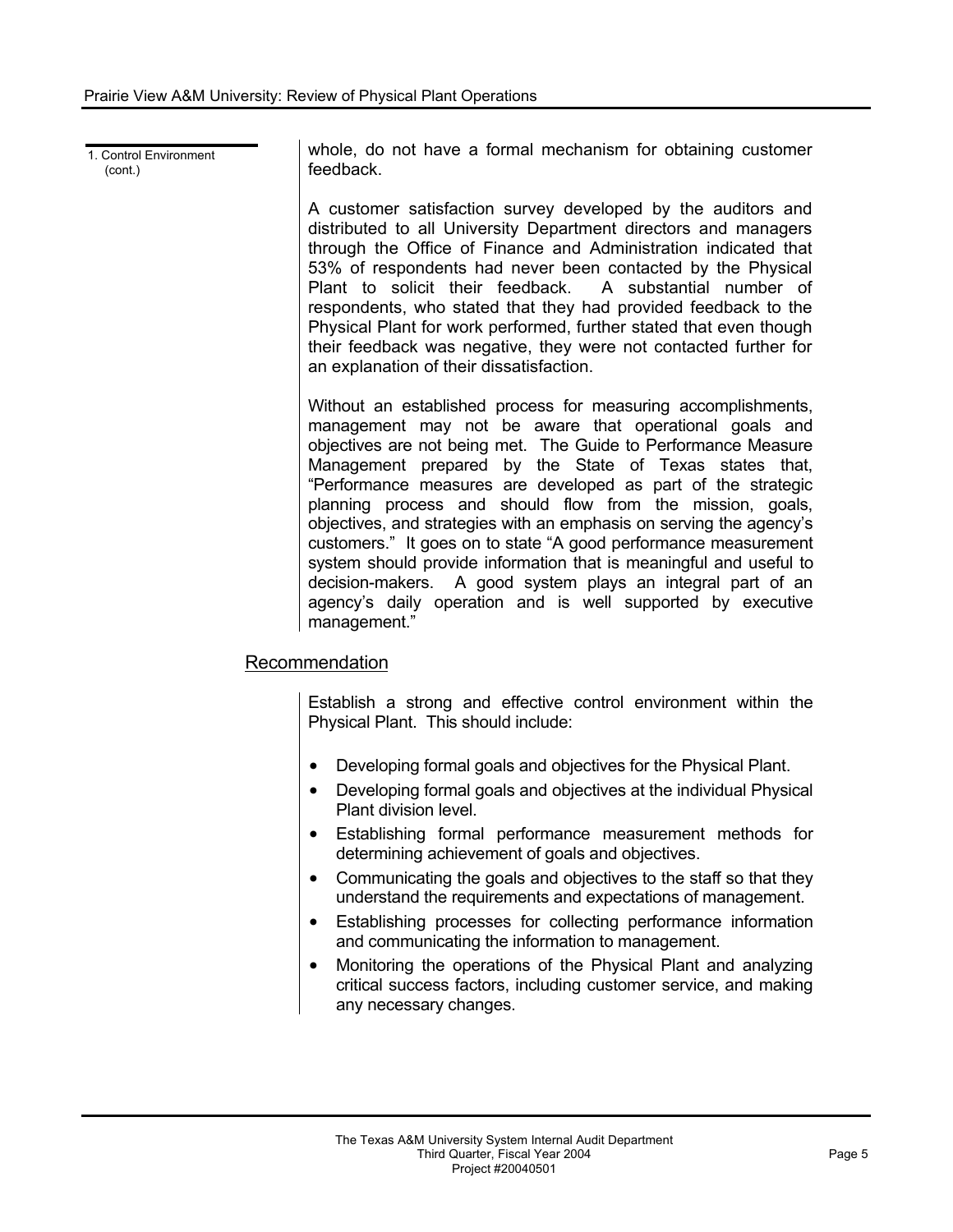1. Control Environment  $(cont.)$ 

whole, do not have a formal mechanism for obtaining customer feedback.

A customer satisfaction survey developed by the auditors and distributed to all University Department directors and managers through the Office of Finance and Administration indicated that 53% of respondents had never been contacted by the Physical Plant to solicit their feedback. A substantial number of respondents, who stated that they had provided feedback to the Physical Plant for work performed, further stated that even though their feedback was negative, they were not contacted further for an explanation of their dissatisfaction.

Without an established process for measuring accomplishments, management may not be aware that operational goals and objectives are not being met. The Guide to Performance Measure Management prepared by the State of Texas states that, "Performance measures are developed as part of the strategic planning process and should flow from the mission, goals, objectives, and strategies with an emphasis on serving the agency's customers." It goes on to state "A good performance measurement system should provide information that is meaningful and useful to decision-makers. A good system plays an integral part of an agency's daily operation and is well supported by executive management."

## Recommendation

Establish a strong and effective control environment within the Physical Plant. This should include:

- Developing formal goals and objectives for the Physical Plant.
- ! Developing formal goals and objectives at the individual Physical Plant division level.
- ! Establishing formal performance measurement methods for determining achievement of goals and objectives.
- Communicating the goals and objectives to the staff so that they understand the requirements and expectations of management.
- Establishing processes for collecting performance information and communicating the information to management.
- Monitoring the operations of the Physical Plant and analyzing critical success factors, including customer service, and making any necessary changes.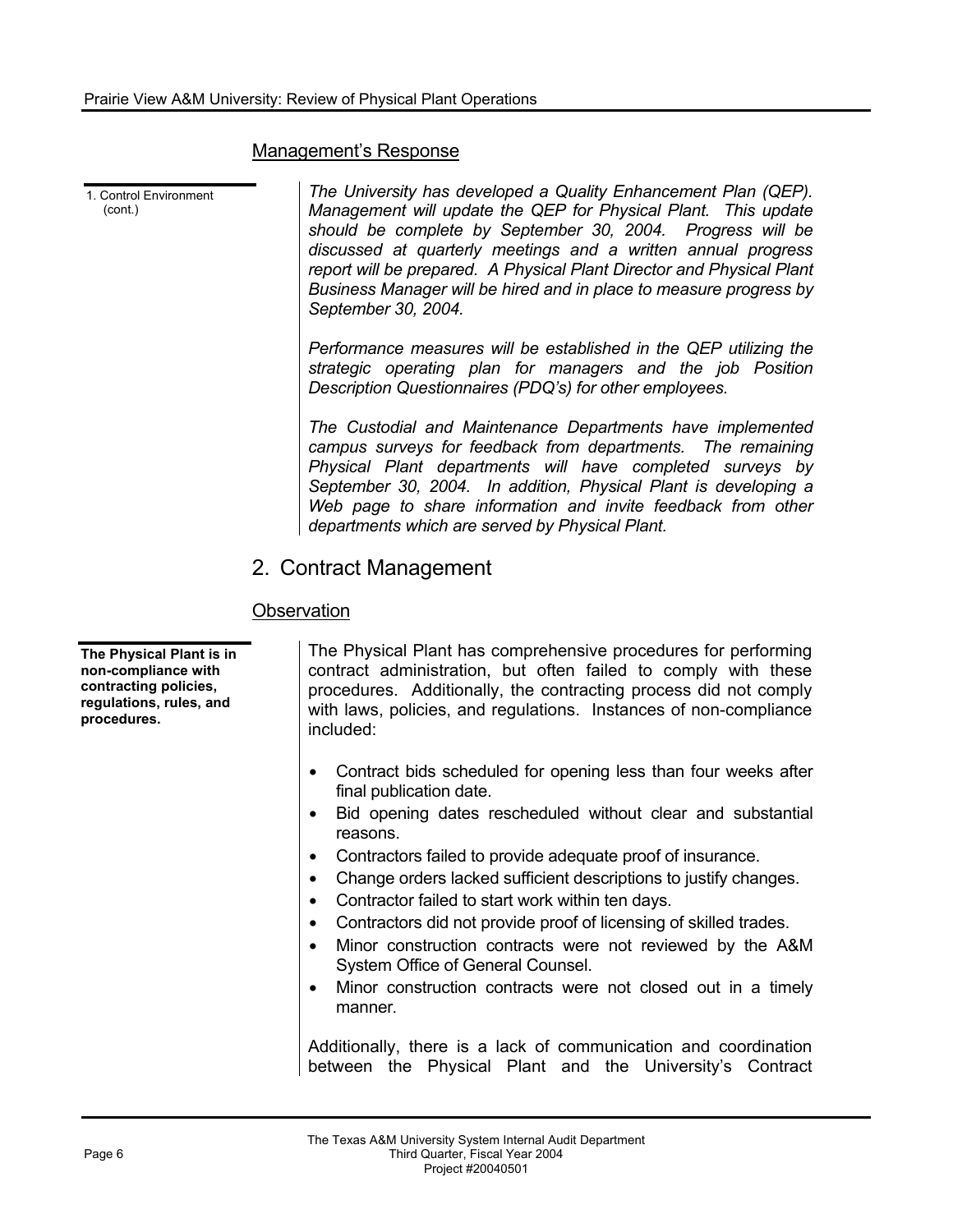#### Management's Response

1. Control Environment (cont.) *The University has developed a Quality Enhancement Plan (QEP). Management will update the QEP for Physical Plant. This update should be complete by September 30, 2004. Progress will be discussed at quarterly meetings and a written annual progress report will be prepared. A Physical Plant Director and Physical Plant Business Manager will be hired and in place to measure progress by September 30, 2004. Performance measures will be established in the QEP utilizing the strategic operating plan for managers and the job Position Description Questionnaires (PDQ's) for other employees. The Custodial and Maintenance Departments have implemented campus surveys for feedback from departments. The remaining Physical Plant departments will have completed surveys by September 30, 2004. In addition, Physical Plant is developing a Web page to share information and invite feedback from other departments which are served by Physical Plant.* 

## 2. Contract Management

### **Observation**

**The Physical Plant is in non-compliance with contracting policies, regulations, rules, and procedures.** 

The Physical Plant has comprehensive procedures for performing contract administration, but often failed to comply with these procedures. Additionally, the contracting process did not comply with laws, policies, and regulations. Instances of non-compliance included:

- Contract bids scheduled for opening less than four weeks after final publication date.
- Bid opening dates rescheduled without clear and substantial reasons.
- ! Contractors failed to provide adequate proof of insurance.
- ! Change orders lacked sufficient descriptions to justify changes.
- ! Contractor failed to start work within ten days.
- ! Contractors did not provide proof of licensing of skilled trades.
- ! Minor construction contracts were not reviewed by the A&M System Office of General Counsel.
- Minor construction contracts were not closed out in a timely manner.

Additionally, there is a lack of communication and coordination between the Physical Plant and the University's Contract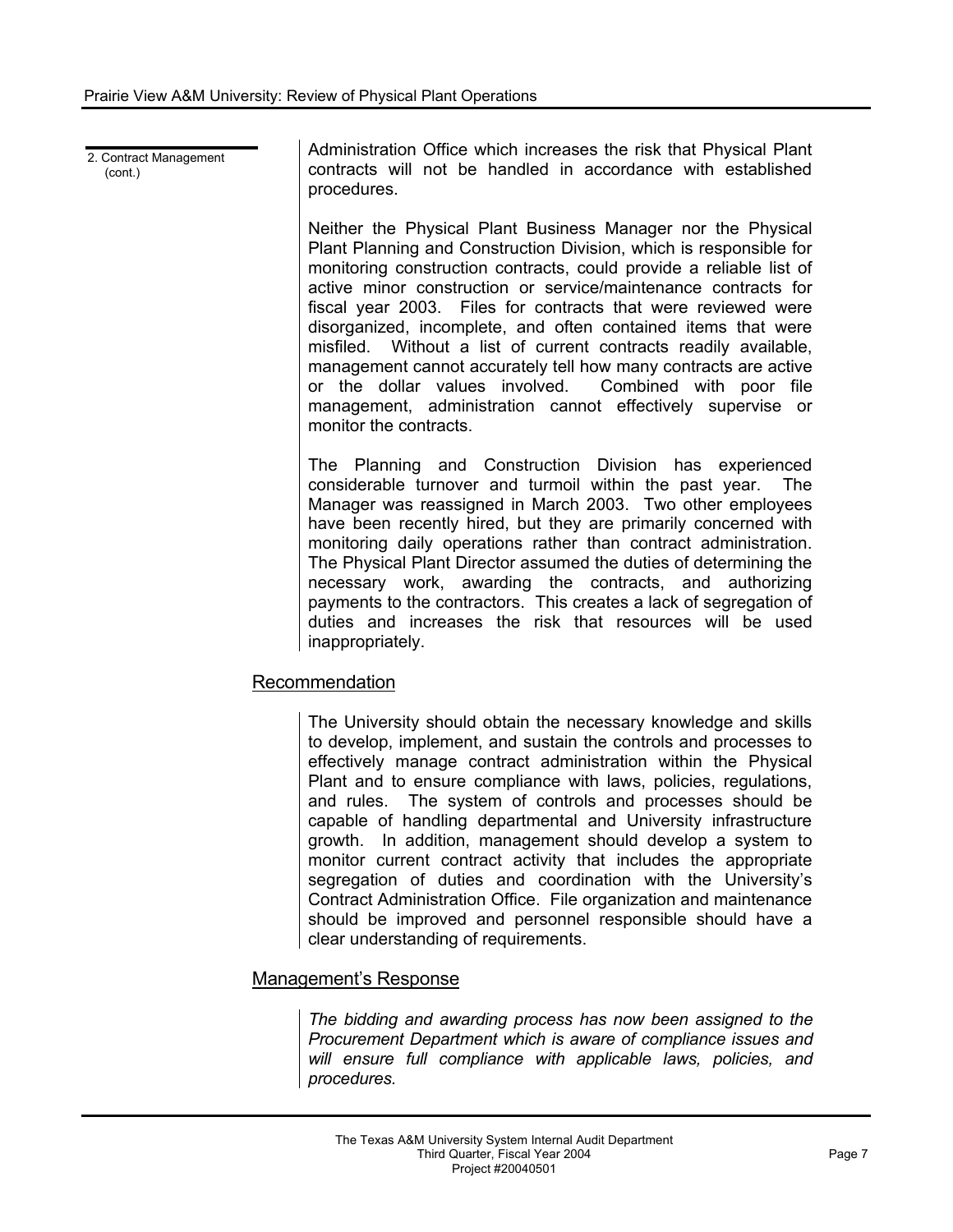2. Contract Management (cont.)

Administration Office which increases the risk that Physical Plant contracts will not be handled in accordance with established procedures.

Neither the Physical Plant Business Manager nor the Physical Plant Planning and Construction Division, which is responsible for monitoring construction contracts, could provide a reliable list of active minor construction or service/maintenance contracts for fiscal year 2003. Files for contracts that were reviewed were disorganized, incomplete, and often contained items that were misfiled. Without a list of current contracts readily available, management cannot accurately tell how many contracts are active or the dollar values involved. Combined with poor file management, administration cannot effectively supervise or monitor the contracts.

The Planning and Construction Division has experienced considerable turnover and turmoil within the past year. The Manager was reassigned in March 2003. Two other employees have been recently hired, but they are primarily concerned with monitoring daily operations rather than contract administration. The Physical Plant Director assumed the duties of determining the necessary work, awarding the contracts, and authorizing payments to the contractors. This creates a lack of segregation of duties and increases the risk that resources will be used inappropriately.

#### Recommendation

The University should obtain the necessary knowledge and skills to develop, implement, and sustain the controls and processes to effectively manage contract administration within the Physical Plant and to ensure compliance with laws, policies, regulations, and rules. The system of controls and processes should be capable of handling departmental and University infrastructure growth. In addition, management should develop a system to monitor current contract activity that includes the appropriate segregation of duties and coordination with the University's Contract Administration Office. File organization and maintenance should be improved and personnel responsible should have a clear understanding of requirements.

#### Management's Response

*The bidding and awarding process has now been assigned to the Procurement Department which is aware of compliance issues and will ensure full compliance with applicable laws, policies, and procedures.*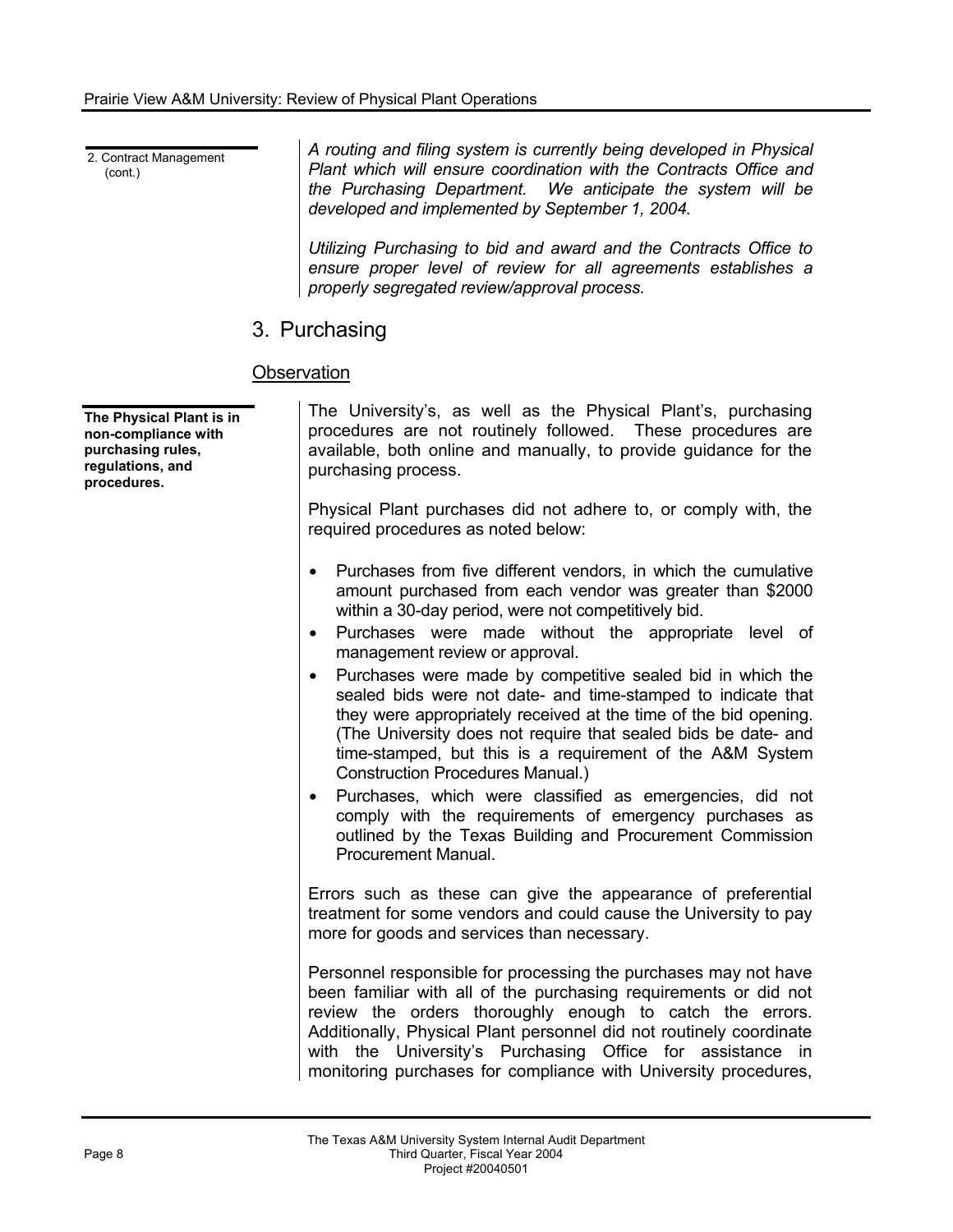2. Contract Management (cont.)

*A routing and filing system is currently being developed in Physical Plant which will ensure coordination with the Contracts Office and the Purchasing Department. We anticipate the system will be developed and implemented by September 1, 2004.* 

*Utilizing Purchasing to bid and award and the Contracts Office to ensure proper level of review for all agreements establishes a properly segregated review/approval process.* 

## 3. Purchasing

### **Observation**

| The Physical Plant is in<br>non-compliance with<br>purchasing rules,<br>regulations, and<br>procedures. | The University's, as well as the Physical Plant's, purchasing<br>procedures are not routinely followed. These procedures are<br>available, both online and manually, to provide guidance for the<br>purchasing process.                                                                                                                                                                                                                                                                                                                                                                                                                                                                                                                                                                                                                                                                           |
|---------------------------------------------------------------------------------------------------------|---------------------------------------------------------------------------------------------------------------------------------------------------------------------------------------------------------------------------------------------------------------------------------------------------------------------------------------------------------------------------------------------------------------------------------------------------------------------------------------------------------------------------------------------------------------------------------------------------------------------------------------------------------------------------------------------------------------------------------------------------------------------------------------------------------------------------------------------------------------------------------------------------|
|                                                                                                         | Physical Plant purchases did not adhere to, or comply with, the<br>required procedures as noted below:                                                                                                                                                                                                                                                                                                                                                                                                                                                                                                                                                                                                                                                                                                                                                                                            |
|                                                                                                         | Purchases from five different vendors, in which the cumulative<br>$\bullet$<br>amount purchased from each vendor was greater than \$2000<br>within a 30-day period, were not competitively bid.<br>Purchases were made without the appropriate level of<br>$\bullet$<br>management review or approval.<br>Purchases were made by competitive sealed bid in which the<br>٠<br>sealed bids were not date- and time-stamped to indicate that<br>they were appropriately received at the time of the bid opening.<br>(The University does not require that sealed bids be date- and<br>time-stamped, but this is a requirement of the A&M System<br><b>Construction Procedures Manual.)</b><br>Purchases, which were classified as emergencies, did not<br>comply with the requirements of emergency purchases as<br>outlined by the Texas Building and Procurement Commission<br>Procurement Manual. |
|                                                                                                         | Errors such as these can give the appearance of preferential<br>treatment for some vendors and could cause the University to pay<br>more for goods and services than necessary.                                                                                                                                                                                                                                                                                                                                                                                                                                                                                                                                                                                                                                                                                                                   |
|                                                                                                         | Personnel responsible for processing the purchases may not have<br>been familiar with all of the purchasing requirements or did not<br>review the orders thoroughly enough to catch the errors.<br>Additionally, Physical Plant personnel did not routinely coordinate<br>with the University's Purchasing Office for assistance in<br>monitoring purchases for compliance with University procedures,                                                                                                                                                                                                                                                                                                                                                                                                                                                                                            |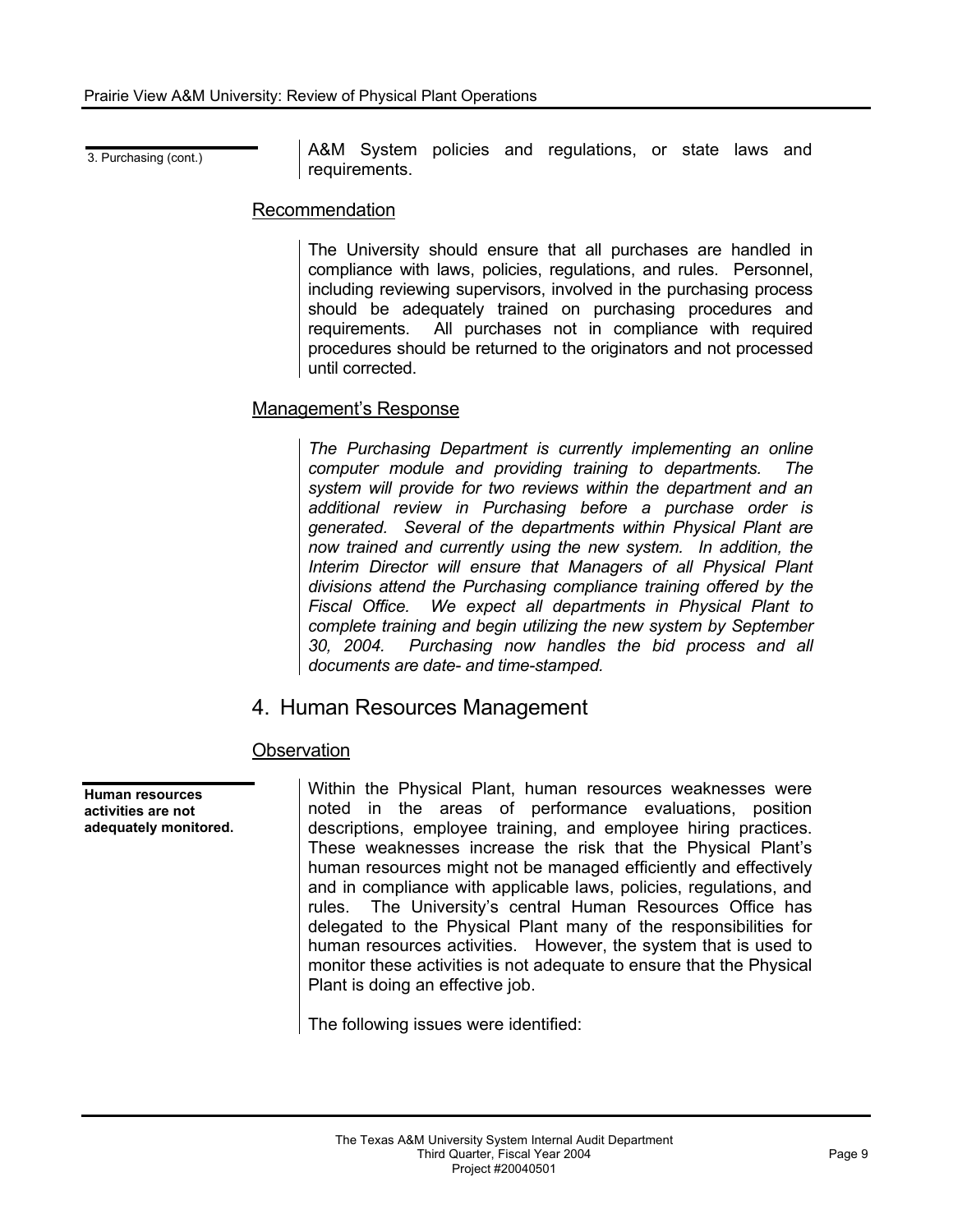3. Purchasing (cont.) **A&M** System policies and regulations, or state laws and requirements.

#### Recommendation

The University should ensure that all purchases are handled in compliance with laws, policies, regulations, and rules. Personnel, including reviewing supervisors, involved in the purchasing process should be adequately trained on purchasing procedures and requirements. All purchases not in compliance with required procedures should be returned to the originators and not processed until corrected.

#### Management's Response

*The Purchasing Department is currently implementing an online computer module and providing training to departments. The system will provide for two reviews within the department and an additional review in Purchasing before a purchase order is generated. Several of the departments within Physical Plant are now trained and currently using the new system. In addition, the Interim Director will ensure that Managers of all Physical Plant divisions attend the Purchasing compliance training offered by the Fiscal Office. We expect all departments in Physical Plant to complete training and begin utilizing the new system by September 30, 2004. Purchasing now handles the bid process and all documents are date- and time-stamped.* 

## 4. Human Resources Management

#### **Observation**

**Human resources activities are not adequately monitored.**  Within the Physical Plant, human resources weaknesses were noted in the areas of performance evaluations, position descriptions, employee training, and employee hiring practices. These weaknesses increase the risk that the Physical Plant's human resources might not be managed efficiently and effectively and in compliance with applicable laws, policies, regulations, and rules. The University's central Human Resources Office has delegated to the Physical Plant many of the responsibilities for human resources activities. However, the system that is used to monitor these activities is not adequate to ensure that the Physical Plant is doing an effective job.

The following issues were identified: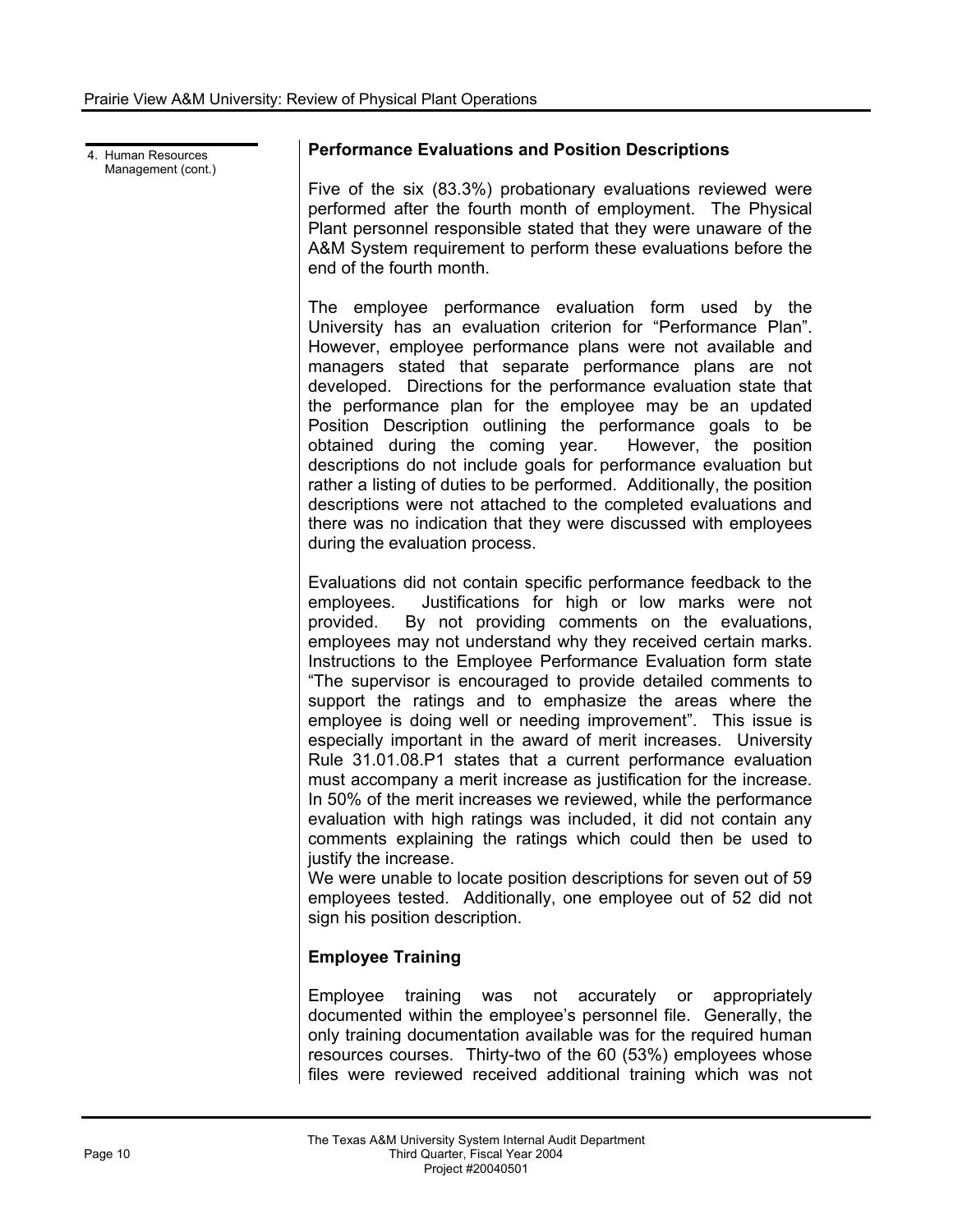4. Human Resources Management (cont.)

#### **Performance Evaluations and Position Descriptions**

Five of the six (83.3%) probationary evaluations reviewed were performed after the fourth month of employment. The Physical Plant personnel responsible stated that they were unaware of the A&M System requirement to perform these evaluations before the end of the fourth month.

The employee performance evaluation form used by the University has an evaluation criterion for "Performance Plan". However, employee performance plans were not available and managers stated that separate performance plans are not developed. Directions for the performance evaluation state that the performance plan for the employee may be an updated Position Description outlining the performance goals to be obtained during the coming year. However, the position descriptions do not include goals for performance evaluation but rather a listing of duties to be performed. Additionally, the position descriptions were not attached to the completed evaluations and there was no indication that they were discussed with employees during the evaluation process.

Evaluations did not contain specific performance feedback to the employees. Justifications for high or low marks were not provided. By not providing comments on the evaluations, employees may not understand why they received certain marks. Instructions to the Employee Performance Evaluation form state "The supervisor is encouraged to provide detailed comments to support the ratings and to emphasize the areas where the employee is doing well or needing improvement". This issue is especially important in the award of merit increases. University Rule 31.01.08.P1 states that a current performance evaluation must accompany a merit increase as justification for the increase. In 50% of the merit increases we reviewed, while the performance evaluation with high ratings was included, it did not contain any comments explaining the ratings which could then be used to justify the increase.

We were unable to locate position descriptions for seven out of 59 employees tested. Additionally, one employee out of 52 did not sign his position description.

#### **Employee Training**

Employee training was not accurately or appropriately documented within the employee's personnel file. Generally, the only training documentation available was for the required human resources courses. Thirty-two of the 60 (53%) employees whose files were reviewed received additional training which was not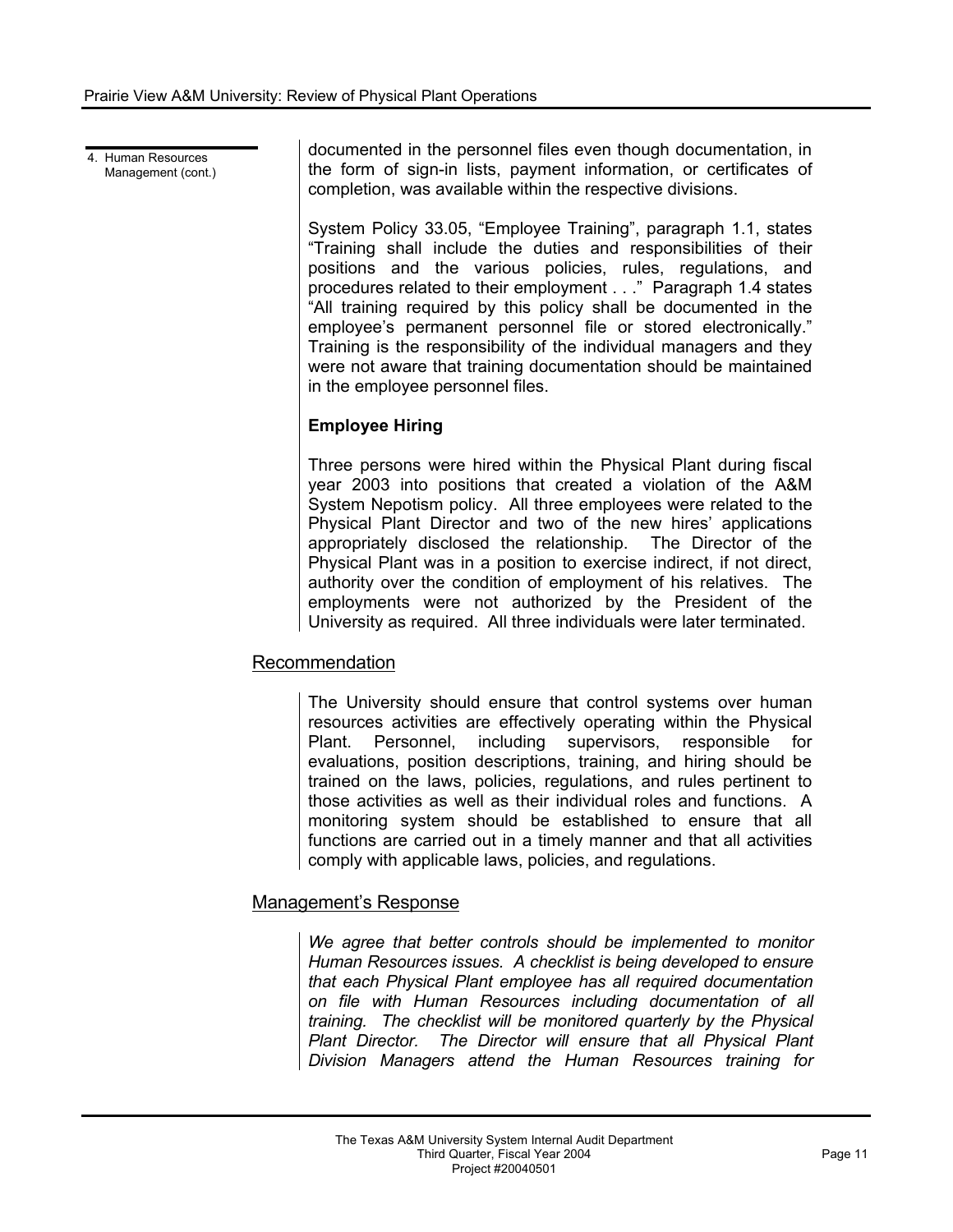4. Human Resources Management (cont.) documented in the personnel files even though documentation, in the form of sign-in lists, payment information, or certificates of completion, was available within the respective divisions.

System Policy 33.05, "Employee Training", paragraph 1.1, states "Training shall include the duties and responsibilities of their positions and the various policies, rules, regulations, and procedures related to their employment . . ." Paragraph 1.4 states "All training required by this policy shall be documented in the employee's permanent personnel file or stored electronically." Training is the responsibility of the individual managers and they were not aware that training documentation should be maintained in the employee personnel files.

#### **Employee Hiring**

Three persons were hired within the Physical Plant during fiscal year 2003 into positions that created a violation of the A&M System Nepotism policy. All three employees were related to the Physical Plant Director and two of the new hires' applications appropriately disclosed the relationship. The Director of the Physical Plant was in a position to exercise indirect, if not direct, authority over the condition of employment of his relatives. The employments were not authorized by the President of the University as required. All three individuals were later terminated.

#### Recommendation

The University should ensure that control systems over human resources activities are effectively operating within the Physical Plant. Personnel, including supervisors, responsible for evaluations, position descriptions, training, and hiring should be trained on the laws, policies, regulations, and rules pertinent to those activities as well as their individual roles and functions. A monitoring system should be established to ensure that all functions are carried out in a timely manner and that all activities comply with applicable laws, policies, and regulations.

#### Management's Response

*We agree that better controls should be implemented to monitor Human Resources issues. A checklist is being developed to ensure that each Physical Plant employee has all required documentation on file with Human Resources including documentation of all training. The checklist will be monitored quarterly by the Physical Plant Director. The Director will ensure that all Physical Plant Division Managers attend the Human Resources training for*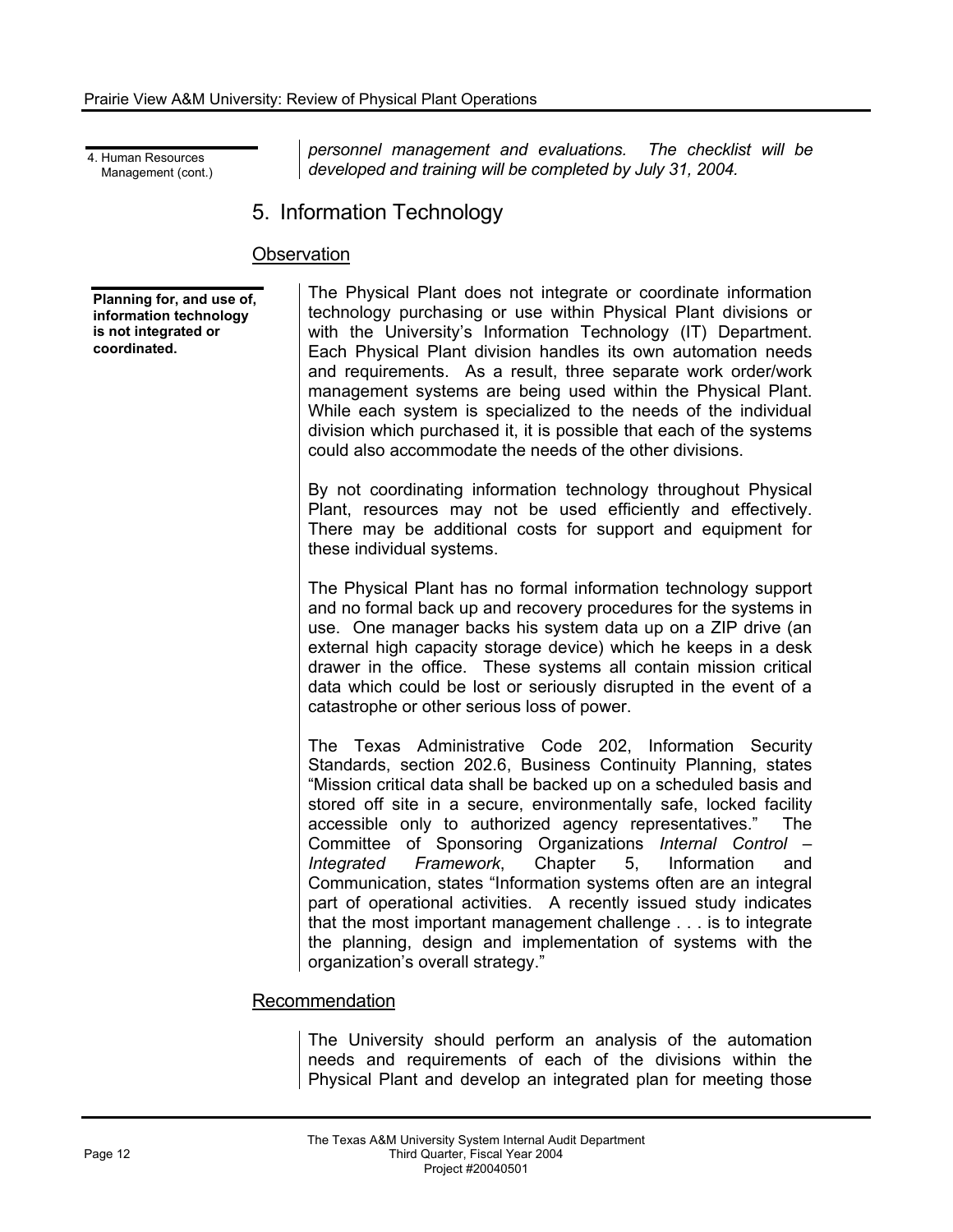4. Human Resources Management (cont.)

*personnel management and evaluations. The checklist will be developed and training will be completed by July 31, 2004.* 

5. Information Technology

#### **Observation**

**Planning for, and use of, information technology is not integrated or coordinated.** 

The Physical Plant does not integrate or coordinate information technology purchasing or use within Physical Plant divisions or with the University's Information Technology (IT) Department. Each Physical Plant division handles its own automation needs and requirements. As a result, three separate work order/work management systems are being used within the Physical Plant. While each system is specialized to the needs of the individual division which purchased it, it is possible that each of the systems could also accommodate the needs of the other divisions.

By not coordinating information technology throughout Physical Plant, resources may not be used efficiently and effectively. There may be additional costs for support and equipment for these individual systems.

The Physical Plant has no formal information technology support and no formal back up and recovery procedures for the systems in use. One manager backs his system data up on a ZIP drive (an external high capacity storage device) which he keeps in a desk drawer in the office. These systems all contain mission critical data which could be lost or seriously disrupted in the event of a catastrophe or other serious loss of power.

The Texas Administrative Code 202, Information Security Standards, section 202.6, Business Continuity Planning, states "Mission critical data shall be backed up on a scheduled basis and stored off site in a secure, environmentally safe, locked facility accessible only to authorized agency representatives." The Committee of Sponsoring Organizations *Internal Control – Integrated Framework*, Chapter 5, Information and Communication, states "Information systems often are an integral part of operational activities. A recently issued study indicates that the most important management challenge . . . is to integrate the planning, design and implementation of systems with the organization's overall strategy."

#### Recommendation

The University should perform an analysis of the automation needs and requirements of each of the divisions within the Physical Plant and develop an integrated plan for meeting those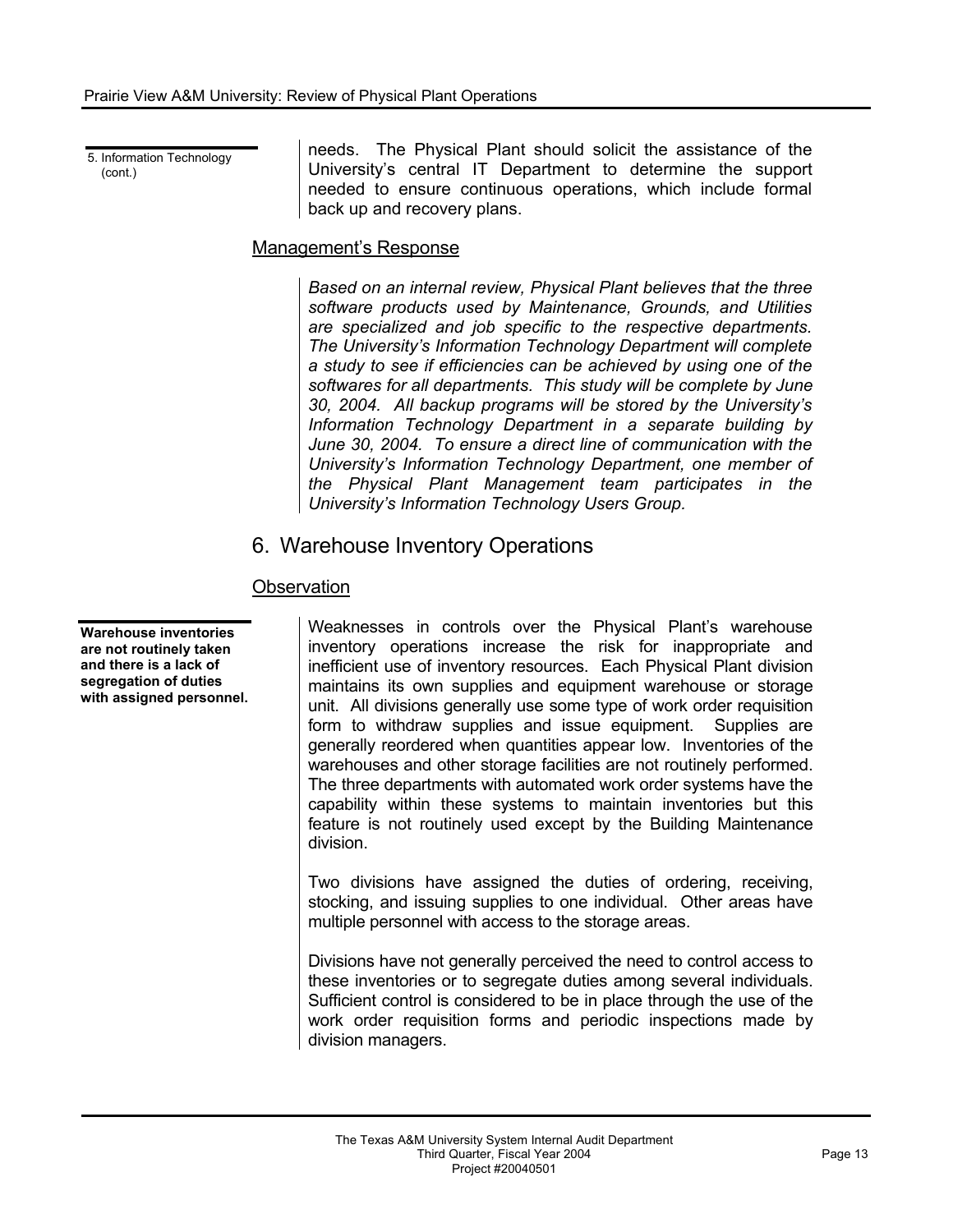5. Information Technology (cont.)

needs. The Physical Plant should solicit the assistance of the University's central IT Department to determine the support needed to ensure continuous operations, which include formal back up and recovery plans.

### Management's Response

*Based on an internal review, Physical Plant believes that the three software products used by Maintenance, Grounds, and Utilities are specialized and job specific to the respective departments. The University's Information Technology Department will complete a study to see if efficiencies can be achieved by using one of the softwares for all departments. This study will be complete by June 30, 2004. All backup programs will be stored by the University's Information Technology Department in a separate building by June 30, 2004. To ensure a direct line of communication with the University's Information Technology Department, one member of the Physical Plant Management team participates in the University's Information Technology Users Group.*

# 6. Warehouse Inventory Operations

## **Observation**

Weaknesses in controls over the Physical Plant's warehouse inventory operations increase the risk for inappropriate and inefficient use of inventory resources. Each Physical Plant division maintains its own supplies and equipment warehouse or storage unit. All divisions generally use some type of work order requisition form to withdraw supplies and issue equipment. Supplies are generally reordered when quantities appear low. Inventories of the warehouses and other storage facilities are not routinely performed. The three departments with automated work order systems have the capability within these systems to maintain inventories but this feature is not routinely used except by the Building Maintenance division.

Two divisions have assigned the duties of ordering, receiving, stocking, and issuing supplies to one individual. Other areas have multiple personnel with access to the storage areas.

Divisions have not generally perceived the need to control access to these inventories or to segregate duties among several individuals. Sufficient control is considered to be in place through the use of the work order requisition forms and periodic inspections made by division managers.

**Warehouse inventories are not routinely taken and there is a lack of segregation of duties with assigned personnel.**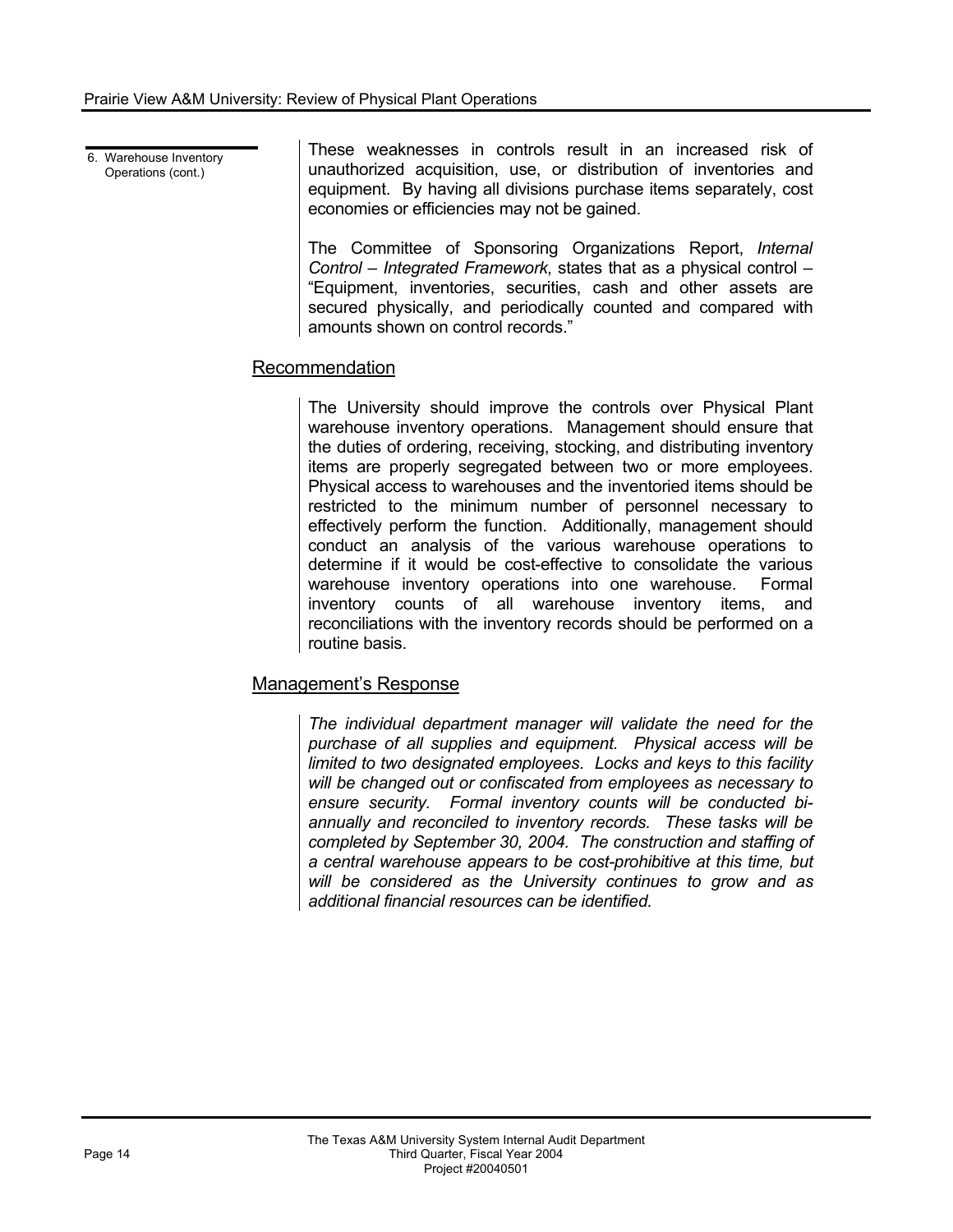6. Warehouse Inventory Operations (cont.) These weaknesses in controls result in an increased risk of unauthorized acquisition, use, or distribution of inventories and equipment. By having all divisions purchase items separately, cost economies or efficiencies may not be gained.

> The Committee of Sponsoring Organizations Report, *Internal Control – Integrated Framework*, states that as a physical control – "Equipment, inventories, securities, cash and other assets are secured physically, and periodically counted and compared with amounts shown on control records."

#### Recommendation

The University should improve the controls over Physical Plant warehouse inventory operations. Management should ensure that the duties of ordering, receiving, stocking, and distributing inventory items are properly segregated between two or more employees. Physical access to warehouses and the inventoried items should be restricted to the minimum number of personnel necessary to effectively perform the function. Additionally, management should conduct an analysis of the various warehouse operations to determine if it would be cost-effective to consolidate the various warehouse inventory operations into one warehouse. Formal inventory counts of all warehouse inventory items, and reconciliations with the inventory records should be performed on a routine basis.

#### Management's Response

*The individual department manager will validate the need for the purchase of all supplies and equipment. Physical access will be limited to two designated employees. Locks and keys to this facility will be changed out or confiscated from employees as necessary to ensure security. Formal inventory counts will be conducted biannually and reconciled to inventory records. These tasks will be completed by September 30, 2004. The construction and staffing of a central warehouse appears to be cost-prohibitive at this time, but will be considered as the University continues to grow and as additional financial resources can be identified.*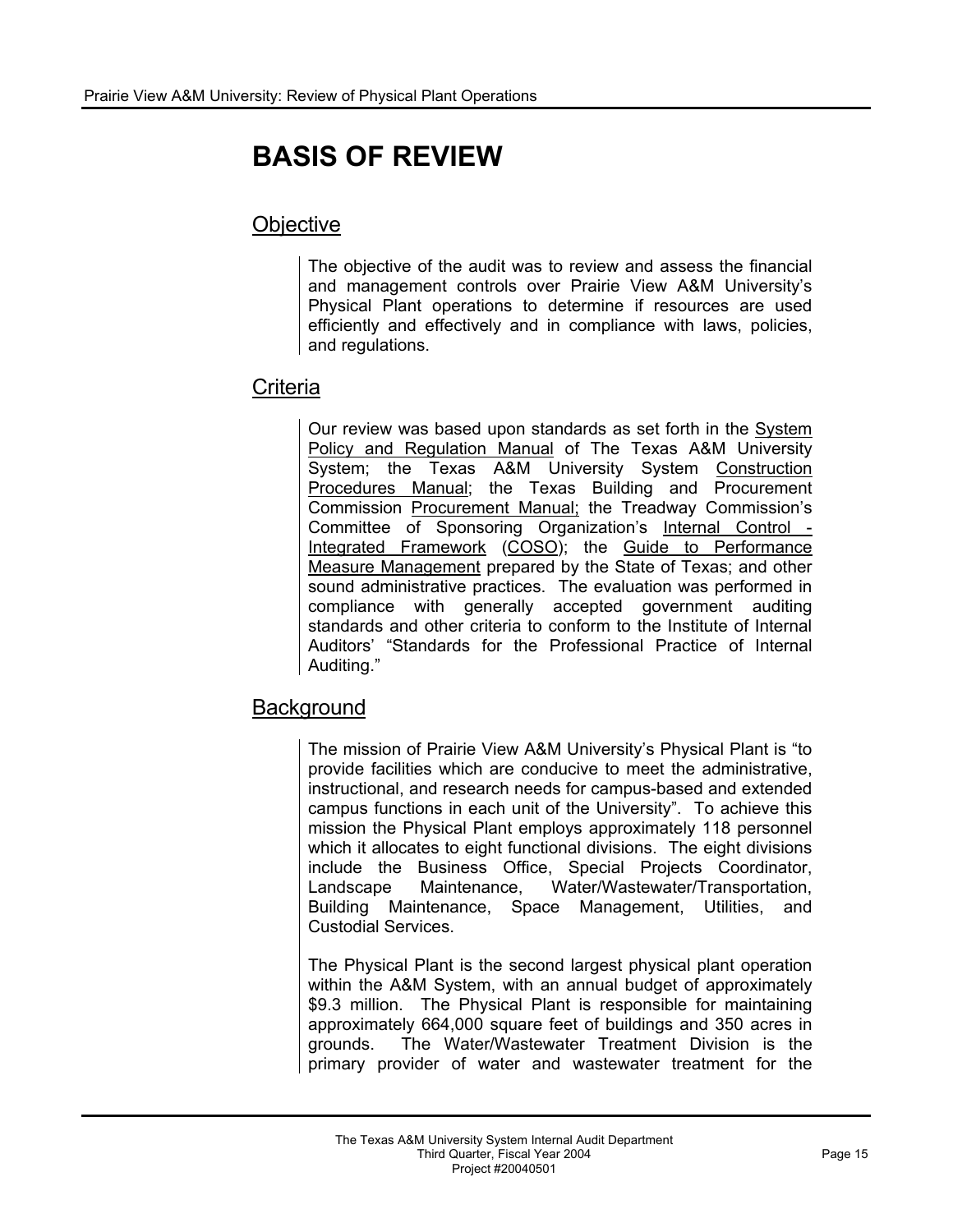# **BASIS OF REVIEW**

# **Objective**

The objective of the audit was to review and assess the financial and management controls over Prairie View A&M University's Physical Plant operations to determine if resources are used efficiently and effectively and in compliance with laws, policies, and regulations.

## **Criteria**

Our review was based upon standards as set forth in the System Policy and Regulation Manual of The Texas A&M University System; the Texas A&M University System Construction Procedures Manual; the Texas Building and Procurement Commission Procurement Manual; the Treadway Commission's Committee of Sponsoring Organization's Internal Control - Integrated Framework (COSO); the Guide to Performance Measure Management prepared by the State of Texas; and other sound administrative practices. The evaluation was performed in compliance with generally accepted government auditing standards and other criteria to conform to the Institute of Internal Auditors' "Standards for the Professional Practice of Internal Auditing."

# **Background**

The mission of Prairie View A&M University's Physical Plant is "to provide facilities which are conducive to meet the administrative, instructional, and research needs for campus-based and extended campus functions in each unit of the University". To achieve this mission the Physical Plant employs approximately 118 personnel which it allocates to eight functional divisions. The eight divisions include the Business Office, Special Projects Coordinator, Landscape Maintenance, Water/Wastewater/Transportation, Building Maintenance, Space Management, Utilities, and Custodial Services.

The Physical Plant is the second largest physical plant operation within the A&M System, with an annual budget of approximately \$9.3 million. The Physical Plant is responsible for maintaining approximately 664,000 square feet of buildings and 350 acres in grounds. The Water/Wastewater Treatment Division is the primary provider of water and wastewater treatment for the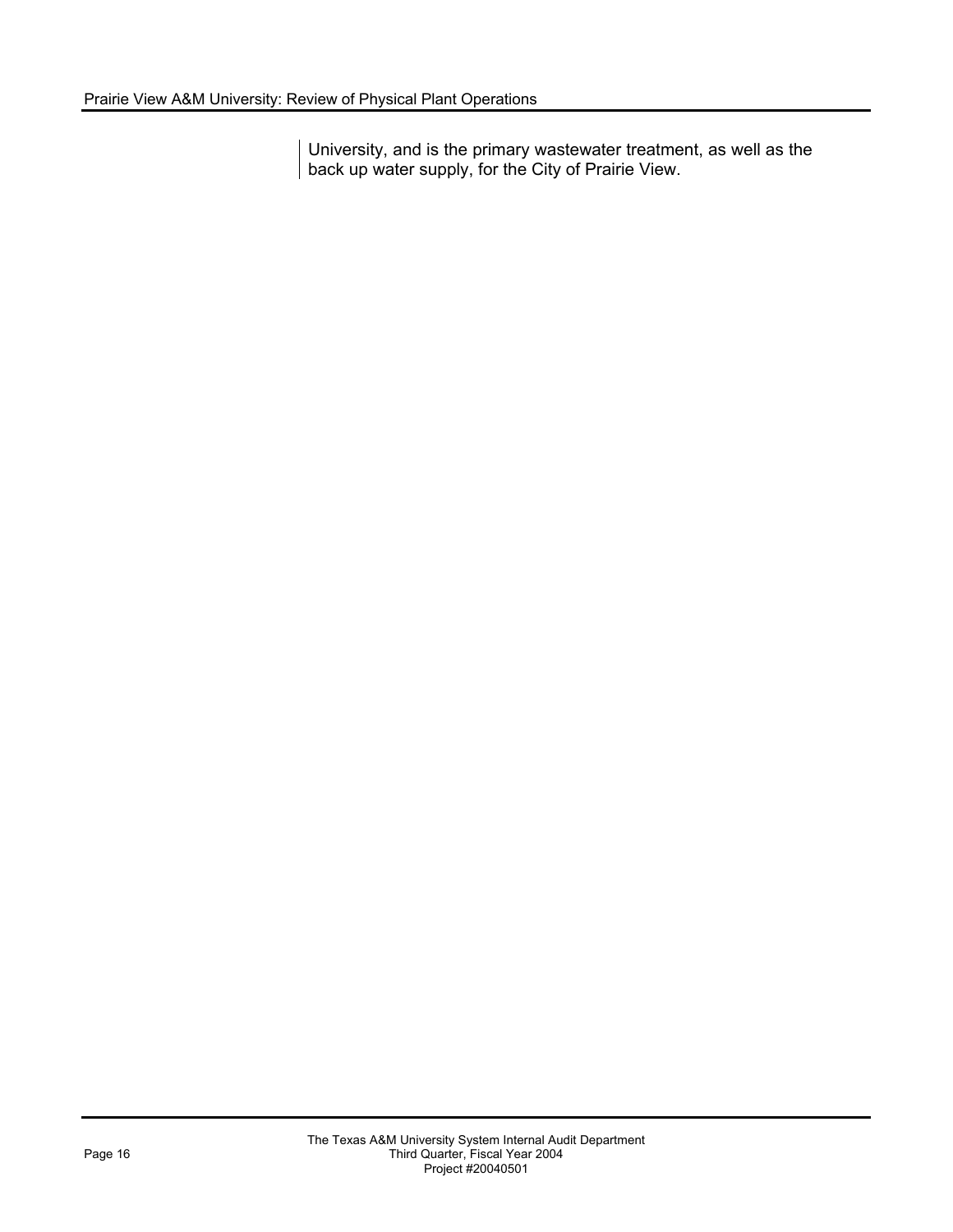University, and is the primary wastewater treatment, as well as the back up water supply, for the City of Prairie View.